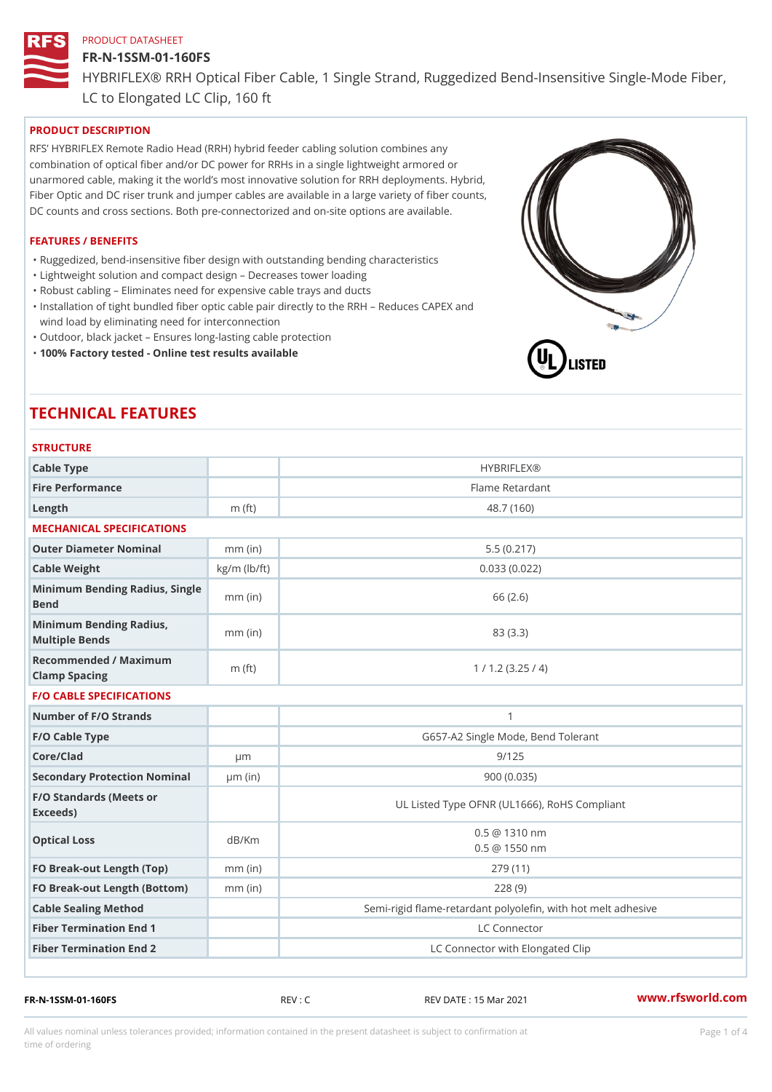#### FR-N-1SSM-01-160FS

HYBRIFLEX® RRH Optical Fiber Cable, 1 Single Strand, Ruggedized Be

LC to Elongated LC Clip, 160 ft

# PRODUCT DESCRIPTION

RFS HYBRIFLEX Remote Radio Head (RRH) hybrid feeder cabling solution combines any combination of optical fiber and/or DC power for RRHs in a single lightweight armored or unarmored cable, making it the world s most innovative solution for RRH deployments. Hybrid, Fiber Optic and DC riser trunk and jumper cables are available in a large variety of fiber counts, DC counts and cross sections. Both pre-connectorized and on-site options are available.

#### FEATURES / BENEFITS

"Ruggedized, bend-insensitive fiber design with outstanding bending characteristics

- "Lightweight solution and compact design Decreases tower loading
- "Robust cabling Eliminates need for expensive cable trays and ducts
- "Installation of tight bundled fiber optic cable pair directly to the RRH Aeduces CAPEX and wind load by eliminating need for interconnection
- "Outdoor, black jacket Ensures long-lasting cable protection
- "100% Factory tested Online test results available

# TECHNICAL FEATURES

| <b>STRUCTURE</b>                                  |                    |                                                          |  |  |  |
|---------------------------------------------------|--------------------|----------------------------------------------------------|--|--|--|
| Cable Type                                        |                    | <b>HYBRIFLEX®</b>                                        |  |  |  |
| Fire Performance                                  |                    | Flame Retardant                                          |  |  |  |
| $L$ ength                                         | $m$ (ft)           | 48.7 (160)                                               |  |  |  |
| MECHANICAL SPECIFICATIONS                         |                    |                                                          |  |  |  |
| Outer Diameter Nominal<br>5.5(0.217)<br>$mm$ (in) |                    |                                                          |  |  |  |
| Cable Weight                                      | $kg/m$ ( $lb/ft$ ) | 0.033(0.022)                                             |  |  |  |
| Minimum Bending Radius, Single<br>Bend            |                    | 66 (2.6)                                                 |  |  |  |
| Minimum Bending Radius, mm (in)<br>Multiple Bends |                    | 83 (3.3)                                                 |  |  |  |
| Recommended / Maximum<br>Clamp Spacing            | $m$ (ft)           | 1 / 1.2 (3.25 / 4)                                       |  |  |  |
| <b>F/O CABLE SPECIFICATIONS</b>                   |                    |                                                          |  |  |  |
| Number of F/O Strands                             |                    | $\mathbf{1}$                                             |  |  |  |
| F/O Cable Type                                    |                    | G657-A2 Single Mode, Bend Tolerant                       |  |  |  |
| Core/Clad                                         | $\mu$ m            | 9/125                                                    |  |  |  |
| Secondary Protection Nomimal(in)                  |                    | 900(0.035)                                               |  |  |  |
| F/O Standards (Meets or<br>Exceeds)               |                    | UL Listed Type OFNR (UL1666), RoHS Compliant             |  |  |  |
| Optical Loss                                      | dB/Km              | $0.5 \ @ \ 1310 \ nm$<br>$0.5 \t@ 1550 nm$               |  |  |  |
| FO Break-out Length (Top)mm (in)                  |                    | 279 (11)                                                 |  |  |  |
| FO Break-out Length (Bottomm) (in)                |                    | 228(9)                                                   |  |  |  |
| Cable Sealing Method                              |                    | Semi-rigid flame-retardant polyolefin, with hot melt adl |  |  |  |
| Fiber Termination End                             |                    | LC Connector                                             |  |  |  |
| Fiber Termination End 2                           |                    | LC Connector with Elongated Clip                         |  |  |  |

FR-N-1SSM-01-160FS REV : C REV DATE : 15 Mar 2021 [www.](https://www.rfsworld.com)rfsworld.com

All values nominal unless tolerances provided; information contained in the present datasheet is subject to Pcapgeligimation time of ordering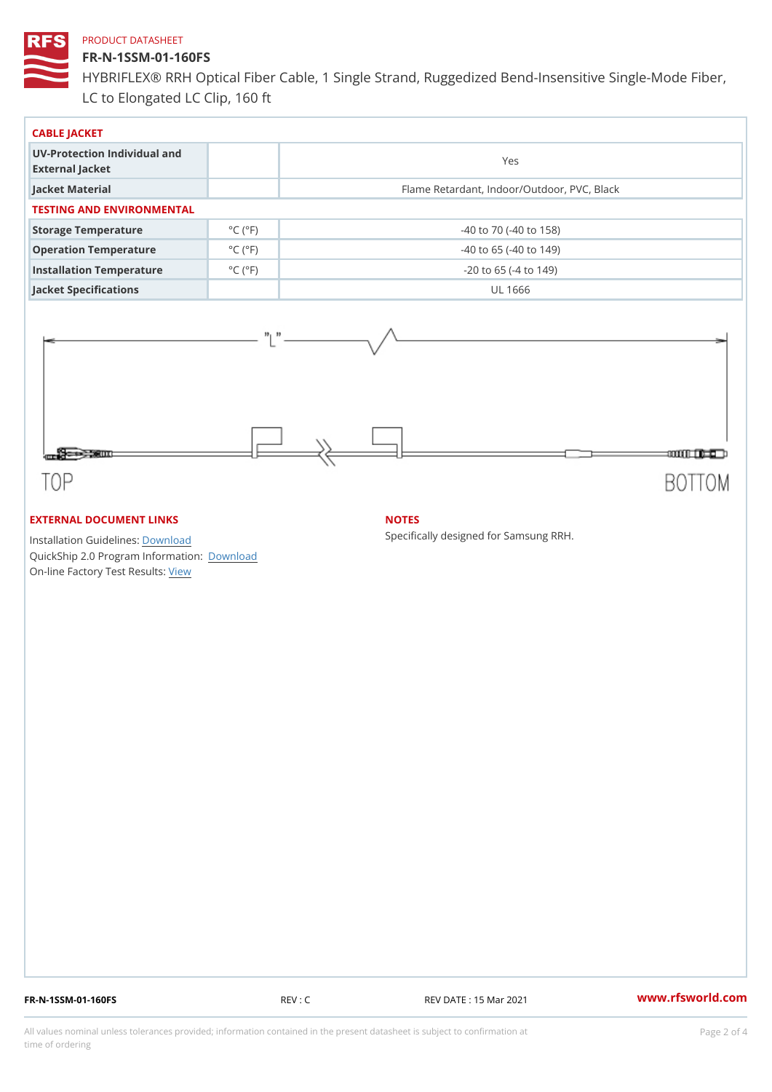## FR-N-1SSM-01-160FS

HYBRIFLEX® RRH Optical Fiber Cable, 1 Single Strand, Ruggedized Be LC to Elongated LC Clip, 160 ft

| CABLE JACKET                                    |                             |                                             |  |  |  |
|-------------------------------------------------|-----------------------------|---------------------------------------------|--|--|--|
| UV-Protection Individual and<br>External Jacket |                             | Yes                                         |  |  |  |
| Jacket Material                                 |                             | Flame Retardant, Indoor/Outdoor, PVC, Black |  |  |  |
| TESTING AND ENVIRONMENTAL                       |                             |                                             |  |  |  |
| Storage Temperature                             | $^{\circ}$ C ( $^{\circ}$ F | $-40$ to $70$ ( $-40$ to $158$ )            |  |  |  |
| Operation Temperature                           | $^{\circ}$ C ( $^{\circ}$ F | $-40$ to 65 ( $-40$ to 149)                 |  |  |  |
| Installation Temperature                        | $^{\circ}$ C ( $^{\circ}$ F | $-20$ to 65 ( $-4$ to 149)                  |  |  |  |
| Jacket Specifications                           |                             | UL 1666                                     |  |  |  |

# EXTERNAL DOCUMENT LINKS

Installation Guidelwinessad QuickShip 2.0 Program [Informa](http://www.rfsworld.com/images/hybriflex/quickship_program_2.pdf)tion: On-line Factory Te[s](https://www.rfsworld.com/pictures/userfiles/programs/AAST Latest Version.zip)teResults:

# NOTES

Specifically designed for Samsung RRH.

FR-N-1SSM-01-160FS REV : C REV DATE : 15 Mar 2021 [www.](https://www.rfsworld.com)rfsworld.com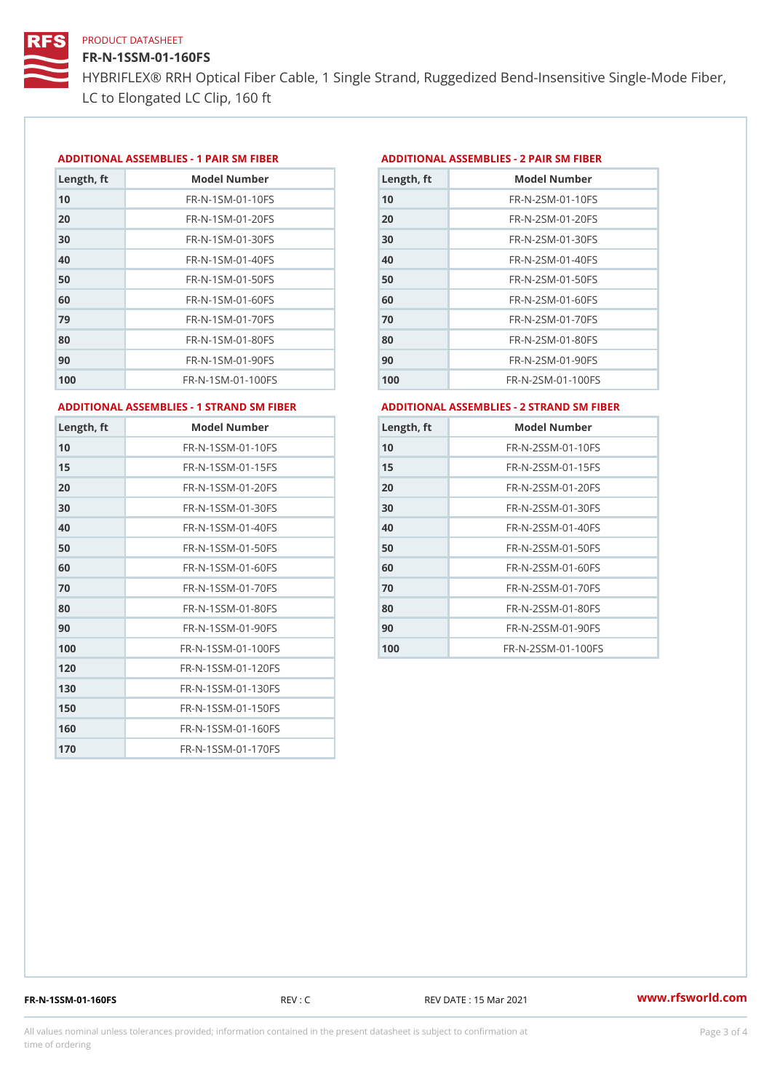# FR-N-1SSM-01-160FS

HYBRIFLEX® RRH Optical Fiber Cable, 1 Single Strand, Ruggedized Be LC to Elongated LC Clip, 160 ft

#### ADDITIONAL ASSEMBLIES - 1 PAIR SM FIBERED DITIONAL ASSEMBLIES - 2 PAIR SM FIBER

| Length, ft | Model Number                   |
|------------|--------------------------------|
| 10         | $FR - N - 1$ S M - 01 - 10 F S |
| 20         | $FR - N - 1$ S M - 01 - 20 F S |
| 30         | FR-N-1SM-01-30FS               |
| 40         | $FR - N - 1$ S M - 01 - 40 F S |
| 50         | FR-N-1SM-01-50FS               |
| 60         | $FR - N - 1$ S M - 01 - 60 F S |
| 79         | FR-N-1SM-01-70FS               |
| 80         | $FR - N - 1$ SM - 01 - 80 F S  |
| 90         | $FR - N - 1$ SM - 01 - 90 F S  |
| 100        | FR-N-1SM-01-100FS              |

| Length, ft | Model Number                   |
|------------|--------------------------------|
| 10         | FR-N-2 SM-01-10 FS             |
| 20         | FR-N-2SM-01-20FS               |
| 30         | FR-N-2SM-01-30FS               |
| 40         | FR-N-2 SM-01-40 FS             |
| 50         | FR-N-2SM-01-50FS               |
| 60         | $FR - N - 2 S M - 01 - 60 F S$ |
| 70         | FR-N-2SM-01-70FS               |
| 80         | FR-N-2SM-01-80FS               |
| 90         | $FR - N - 2 S M - 01 - 90 F S$ |
| 100        | FR-N-2SM-01-100FS              |

#### ADDITIONAL ASSEMBLIES - 1 STRAND SM FABSDRTIONAL ASSEMBLIES - 2 STRAND SM FIBER

| Length, ft     | Model Number                     |
|----------------|----------------------------------|
| 1 <sub>0</sub> | FR-N-1SSM-01-10FS                |
| 15             | FR-N-1SSM-01-15FS                |
| 20             | FR-N-1SSM-01-20FS                |
| 30             | FR-N-1SSM-01-30FS                |
| 40             | FR-N-1SSM-01-40FS                |
| 50             | FR-N-1SSM-01-50FS                |
| 60             | FR-N-1SSM-01-60FS                |
| 70             | FR-N-1SSM-01-70FS                |
| 80             | FR-N-1SSM-01-80FS                |
| 90             | $FR - N - 1$ S S M - 01 - 90 F S |
| 100            | FR-N-1SSM-01-100FS               |
| 120            | FR-N-1SSM-01-120FS               |
| 130            | FR-N-1SSM-01-130FS               |
| 150            | FR-N-1SSM-01-150FS               |
| 160            | FR-N-1SSM-01-160FS               |
| 170            | FR-N-1SSM-01-170FS               |

| Length, ft | Model Number       |
|------------|--------------------|
| 10         | FR-N-2SSM-01-10FS  |
| 15         | FR-N-2SSM-01-15FS  |
| 20         | FR-N-2SSM-01-20FS  |
| 30         | FR-N-2SSM-01-30FS  |
| 40         | FR-N-2SSM-01-40FS  |
| 50         | FR-N-2SSM-01-50FS  |
| 60         | FR-N-2SSM-01-60FS  |
| 70         | FR-N-2SSM-01-70FS  |
| 80         | FR-N-2SSM-01-80FS  |
| 90         | FR-N-2SSM-01-90FS  |
| 100        | FR-N-2SSM-01-100FS |

FR-N-1SSM-01-160FS REV : C REV DATE : 15 Mar 2021 [www.](https://www.rfsworld.com)rfsworld.com